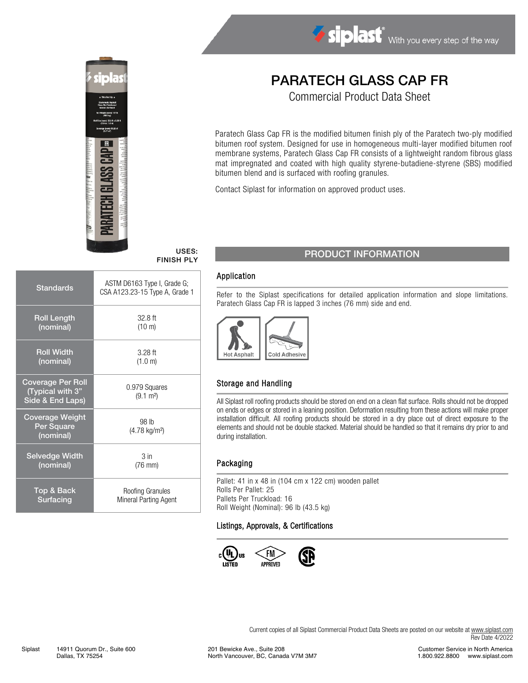

# Siplast With you every step of the way

# PARATECH GLASS CAP FR

Commercial Product Data Sheet

Paratech Glass Cap FR is the modified bitumen finish ply of the Paratech two-ply modified bitumen roof system. Designed for use in homogeneous multi-layer modified bitumen roof membrane systems, Paratech Glass Cap FR consists of a lightweight random fibrous glass mat impregnated and coated with high quality styrene-butadiene-styrene (SBS) modified bitumen blend and is surfaced with roofing granules.

Contact Siplast for information on approved product uses.

# FINISH PLY

| <b>Standards</b>                                                 | ASTM D6163 Type I, Grade G;<br>CSA A123.23-15 Type A, Grade 1 |
|------------------------------------------------------------------|---------------------------------------------------------------|
| <b>Roll Length</b>                                               | $32.8$ ft                                                     |
| (nominal)                                                        | (10 m)                                                        |
| <b>Roll Width</b>                                                | $3.28$ ft                                                     |
| (nominal)                                                        | (1.0 m)                                                       |
| <b>Coverage Per Roll</b><br>(Typical with 3"<br>Side & End Laps) | 0.979 Squares<br>$(9.1 \text{ m}^2)$                          |
| <b>Coverage Weight</b><br>Per Square<br>(nominal)                | 98 lb<br>$(4.78 \text{ kg/m}^2)$                              |
| <b>Selvedge Width</b>                                            | 3 <sub>in</sub>                                               |
| (nominal)                                                        | $(76$ mm $)$                                                  |
| Top & Back                                                       | Roofing Granules                                              |
| Surfacing                                                        | Mineral Parting Agent                                         |

## USES: PRODUCT INFORMATION

#### Application

Refer to the Siplast specifications for detailed application information and slope limitations. Paratech Glass Cap FR is lapped 3 inches (76 mm) side and end.



#### Storage and Handling

All Siplast roll roofing products should be stored on end on a clean flat surface. Rolls should not be dropped on ends or edges or stored in a leaning position. Deformation resulting from these actions will make proper installation difficult. All roofing products should be stored in a dry place out of direct exposure to the elements and should not be double stacked. Material should be handled so that it remains dry prior to and during installation.

#### Packaging

Pallet: 41 in x 48 in (104 cm x 122 cm) wooden pallet Rolls Per Pallet: 25 Pallets Per Truckload: 16 Roll Weight (Nominal): 96 lb (43.5 kg)

#### Listings, Approvals, & Certifications



Current copies of all Siplast Commercial Product Data Sheets are posted on our website at [www.siplast.com](http://www.siplast.com/) Rev Date 4/2022